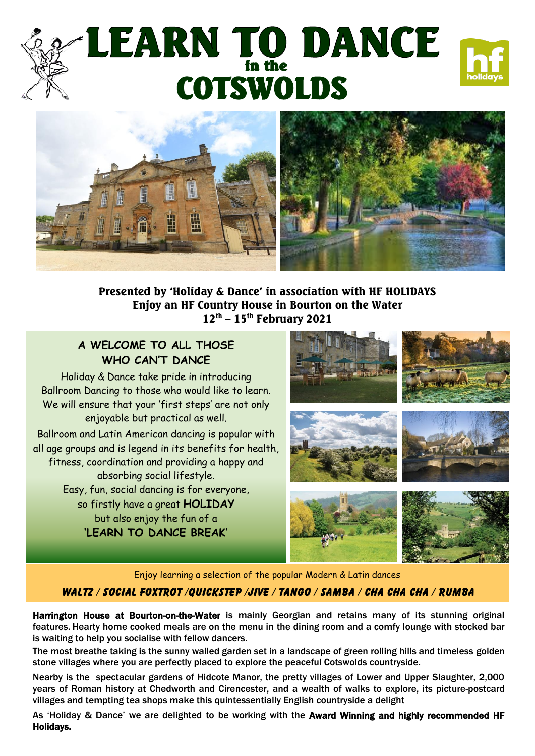# |<br>H<br>|-**COTSWOLDS**





Presented by 'Holiday & Dance' in association with HF HOLIDAYS Enjoy an HF Country House in Bourton on the Water  $12^{\text{th}}$  –  $15^{\text{th}}$  February 2021

### **A WELCOME TO ALL THOSE WHO CAN'T DANCE**

Holiday & Dance take pride in introducing Ballroom Dancing to those who would like to learn. We will ensure that your 'first steps' are not only enjoyable but practical as well.

 all age groups and is legend in its benefits for health, Ballroom and Latin American dancing is popular with fitness, coordination and providing a happy and absorbing social lifestyle. Easy, fun, social dancing is for everyone, so firstly have a great **HOLIDAY** but also enjoy the fun of a **'LEARN TO DANCE BREAK'**



Enjoy learning a selection of the popular Modern & Latin dances

#### WALTZ / SOCIAL FOXTROT /QUICKSTEP /jive / TANGO / SAMBA / CHA CHA CHA / RUMBA

Harrington House at Bourton-on-the-Water is mainly Georgian and retains many of its stunning original features. Hearty home cooked meals are on the menu in the dining room and a comfy lounge with stocked bar is waiting to help you socialise with fellow dancers.

The most breathe taking is the sunny walled garden set in a landscape of green rolling hills and timeless golden stone villages where you are perfectly placed to explore the peaceful Cotswolds countryside.

Nearby is the spectacular gardens of Hidcote Manor, the pretty villages of Lower and Upper Slaughter, 2,000 years of Roman history at Chedworth and Cirencester, and a wealth of walks to explore, its picture-postcard villages and tempting tea shops make this quintessentially English countryside a delight

As 'Holiday & Dance' we are delighted to be working with the Award Winning and highly recommended HF Holidays.